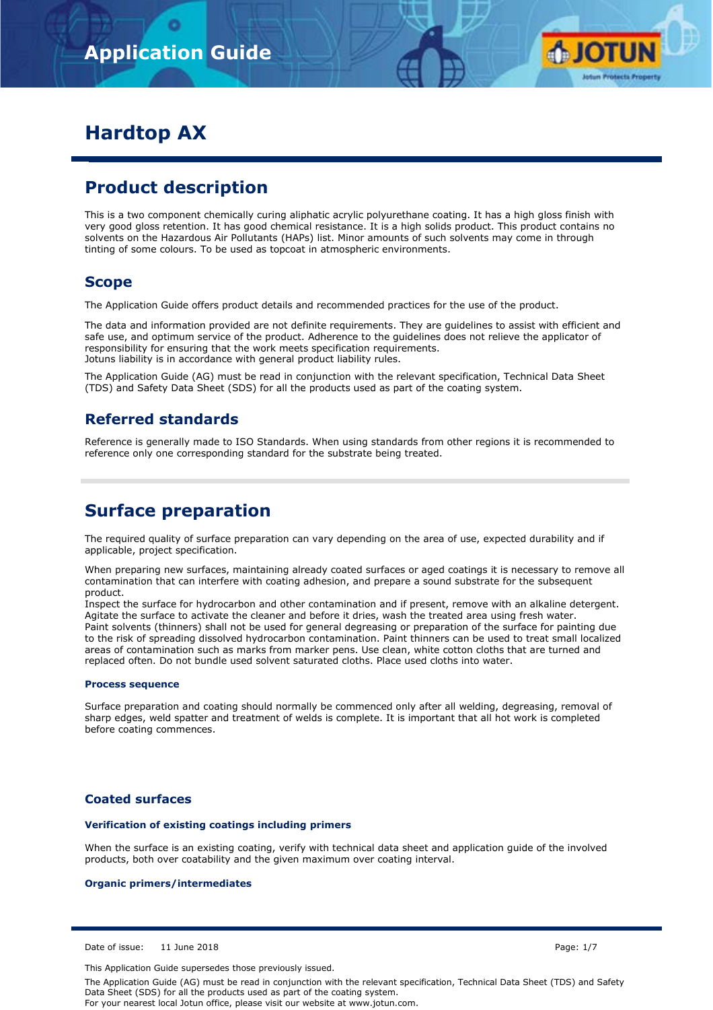

# **Hardtop AX**

## **Product description**

This is a two component chemically curing aliphatic acrylic polyurethane coating. It has a high gloss finish with very good gloss retention. It has good chemical resistance. It is a high solids product. This product contains no solvents on the Hazardous Air Pollutants (HAPs) list. Minor amounts of such solvents may come in through tinting of some colours. To be used as topcoat in atmospheric environments.

## **Scope**

The Application Guide offers product details and recommended practices for the use of the product.

The data and information provided are not definite requirements. They are guidelines to assist with efficient and safe use, and optimum service of the product. Adherence to the guidelines does not relieve the applicator of responsibility for ensuring that the work meets specification requirements. Jotuns liability is in accordance with general product liability rules.

The Application Guide (AG) must be read in conjunction with the relevant specification, Technical Data Sheet (TDS) and Safety Data Sheet (SDS) for all the products used as part of the coating system.

## **Referred standards**

Reference is generally made to ISO Standards. When using standards from other regions it is recommended to reference only one corresponding standard for the substrate being treated.

## **Surface preparation**

The required quality of surface preparation can vary depending on the area of use, expected durability and if applicable, project specification.

When preparing new surfaces, maintaining already coated surfaces or aged coatings it is necessary to remove all contamination that can interfere with coating adhesion, and prepare a sound substrate for the subsequent product.

Inspect the surface for hydrocarbon and other contamination and if present, remove with an alkaline detergent. Agitate the surface to activate the cleaner and before it dries, wash the treated area using fresh water. Paint solvents (thinners) shall not be used for general degreasing or preparation of the surface for painting due to the risk of spreading dissolved hydrocarbon contamination. Paint thinners can be used to treat small localized areas of contamination such as marks from marker pens. Use clean, white cotton cloths that are turned and replaced often. Do not bundle used solvent saturated cloths. Place used cloths into water.

#### **Process sequence**

Surface preparation and coating should normally be commenced only after all welding, degreasing, removal of sharp edges, weld spatter and treatment of welds is complete. It is important that all hot work is completed before coating commences.

### **Coated surfaces**

#### **Verification of existing coatings including primers**

When the surface is an existing coating, verify with technical data sheet and application guide of the involved products, both over coatability and the given maximum over coating interval.

#### **Organic primers/intermediates**

Date of issue: 11 June 2018 Page: 1/7

This Application Guide supersedes those previously issued.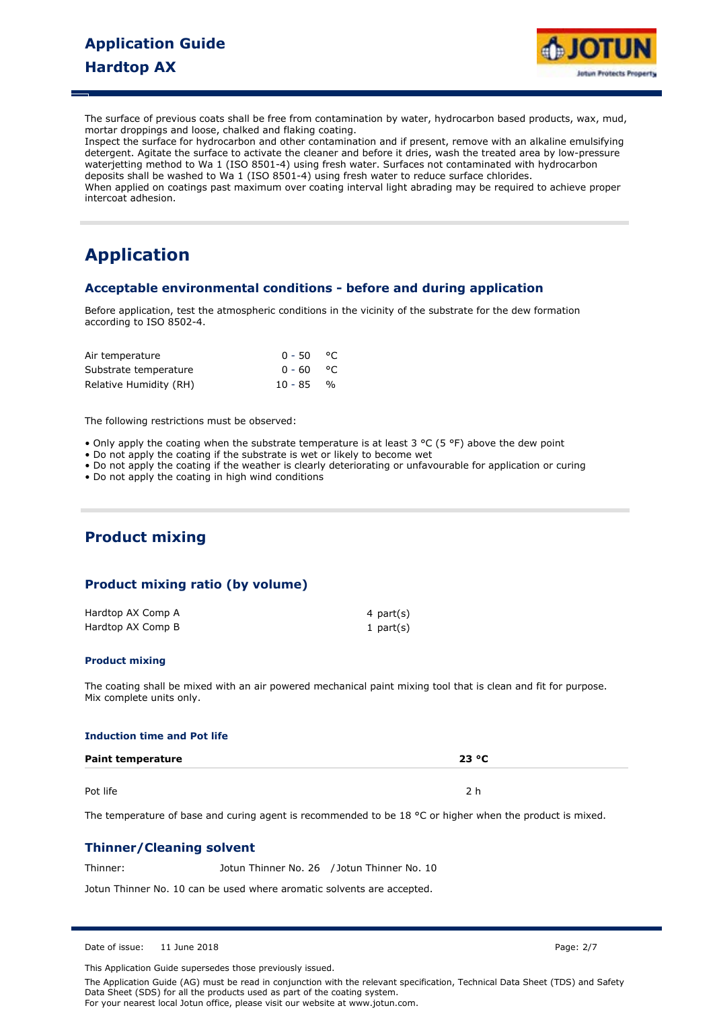

The surface of previous coats shall be free from contamination by water, hydrocarbon based products, wax, mud, mortar droppings and loose, chalked and flaking coating.

Inspect the surface for hydrocarbon and other contamination and if present, remove with an alkaline emulsifying detergent. Agitate the surface to activate the cleaner and before it dries, wash the treated area by low-pressure waterjetting method to Wa 1 (ISO 8501-4) using fresh water. Surfaces not contaminated with hydrocarbon deposits shall be washed to Wa 1 (ISO 8501-4) using fresh water to reduce surface chlorides. When applied on coatings past maximum over coating interval light abrading may be required to achieve proper intercoat adhesion.

# **Application**

### **Acceptable environmental conditions - before and during application**

Before application, test the atmospheric conditions in the vicinity of the substrate for the dew formation according to ISO 8502-4.

| Air temperature        | $0 - 50$ °C |  |
|------------------------|-------------|--|
| Substrate temperature  | 0-60 °C     |  |
| Relative Humidity (RH) | $10 - 85$ % |  |

The following restrictions must be observed:

- Only apply the coating when the substrate temperature is at least 3 °C (5 °F) above the dew point
- Do not apply the coating if the substrate is wet or likely to become wet
- Do not apply the coating if the weather is clearly deteriorating or unfavourable for application or curing
- Do not apply the coating in high wind conditions

## **Product mixing**

## **Product mixing ratio (by volume)**

| Hardtop AX Comp A | 4 part(s) |
|-------------------|-----------|
| Hardtop AX Comp B | 1 part(s) |

#### **Product mixing**

The coating shall be mixed with an air powered mechanical paint mixing tool that is clean and fit for purpose. Mix complete units only.

#### **Induction time and Pot life**

| <b>Paint temperature</b> | 23 °C |  |  |
|--------------------------|-------|--|--|
|                          |       |  |  |
| Pot life                 | つん    |  |  |

The temperature of base and curing agent is recommended to be 18 °C or higher when the product is mixed.

### **Thinner/Cleaning solvent**

Thinner: Jotun Thinner No. 26 / Jotun Thinner No. 10

Jotun Thinner No. 10 can be used where aromatic solvents are accepted.

Date of issue: 11 June 2018 Page: 2/7

This Application Guide supersedes those previously issued.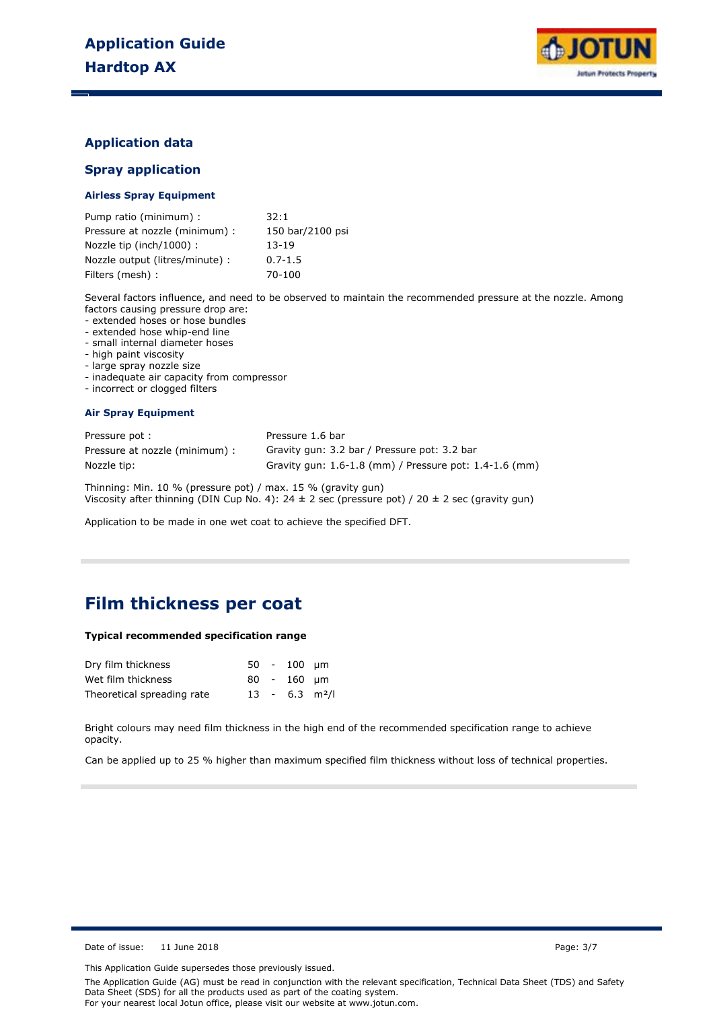

### **Application data**

### **Spray application**

#### **Airless Spray Equipment**

| Pump ratio (minimum) :          | 32:1             |
|---------------------------------|------------------|
| Pressure at nozzle (minimum) :  | 150 bar/2100 psi |
| Nozzle tip (inch/1000) :        | 13-19            |
| Nozzle output (litres/minute) : | $0.7 - 1.5$      |
| Filters (mesh) :                | 70-100           |

Several factors influence, and need to be observed to maintain the recommended pressure at the nozzle. Among factors causing pressure drop are:

- extended hoses or hose bundles

- extended hose whip-end line

- small internal diameter hoses

- high paint viscosity

- large spray nozzle size

- inadequate air capacity from compressor
- incorrect or clogged filters

#### **Air Spray Equipment**

| Pressure pot:                  | Pressure 1.6 bar                                       |
|--------------------------------|--------------------------------------------------------|
| Pressure at nozzle (minimum) : | Gravity gun: 3.2 bar / Pressure pot: 3.2 bar           |
| Nozzle tip:                    | Gravity gun: 1.6-1.8 (mm) / Pressure pot: 1.4-1.6 (mm) |

Thinning: Min. 10 % (pressure pot) / max. 15 % (gravity gun) Viscosity after thinning (DIN Cup No. 4):  $24 \pm 2$  sec (pressure pot) /  $20 \pm 2$  sec (gravity gun)

Application to be made in one wet coat to achieve the specified DFT.

## **Film thickness per coat**

#### **Typical recommended specification range**

| Dry film thickness         |  | $50 - 100$ um                |  |
|----------------------------|--|------------------------------|--|
| Wet film thickness         |  | $80 - 160$ um                |  |
| Theoretical spreading rate |  | $13 - 6.3$ m <sup>2</sup> /l |  |

Bright colours may need film thickness in the high end of the recommended specification range to achieve opacity.

Can be applied up to 25 % higher than maximum specified film thickness without loss of technical properties.

Date of issue: 11 June 2018 Page: 3/7

This Application Guide supersedes those previously issued.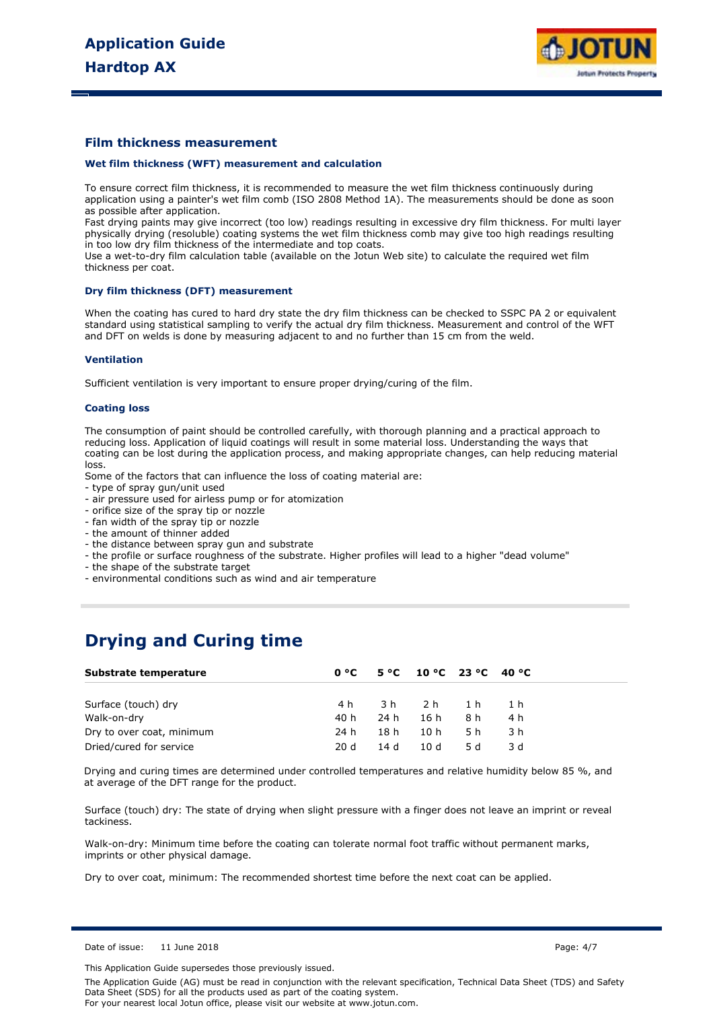

#### **Film thickness measurement**

#### **Wet film thickness (WFT) measurement and calculation**

To ensure correct film thickness, it is recommended to measure the wet film thickness continuously during application using a painter's wet film comb (ISO 2808 Method 1A). The measurements should be done as soon as possible after application.

Fast drying paints may give incorrect (too low) readings resulting in excessive dry film thickness. For multi layer physically drying (resoluble) coating systems the wet film thickness comb may give too high readings resulting in too low dry film thickness of the intermediate and top coats.

Use a wet-to-dry film calculation table (available on the Jotun Web site) to calculate the required wet film thickness per coat.

#### **Dry film thickness (DFT) measurement**

When the coating has cured to hard dry state the dry film thickness can be checked to SSPC PA 2 or equivalent standard using statistical sampling to verify the actual dry film thickness. Measurement and control of the WFT and DFT on welds is done by measuring adjacent to and no further than 15 cm from the weld.

#### **Ventilation**

Sufficient ventilation is very important to ensure proper drying/curing of the film.

#### **Coating loss**

The consumption of paint should be controlled carefully, with thorough planning and a practical approach to reducing loss. Application of liquid coatings will result in some material loss. Understanding the ways that coating can be lost during the application process, and making appropriate changes, can help reducing material loss.

Some of the factors that can influence the loss of coating material are:

- type of spray gun/unit used
- air pressure used for airless pump or for atomization
- orifice size of the spray tip or nozzle
- fan width of the spray tip or nozzle
- the amount of thinner added
- the distance between spray gun and substrate
- the profile or surface roughness of the substrate. Higher profiles will lead to a higher "dead volume"
- the shape of the substrate target
- environmental conditions such as wind and air temperature

## **Drying and Curing time**

| Substrate temperature     |      |      | $0^{\circ}$ C 5 °C 10 °C 23 °C 40 °C |      |     |  |
|---------------------------|------|------|--------------------------------------|------|-----|--|
|                           |      |      |                                      |      |     |  |
| Surface (touch) dry       | 4 h  |      | 3h 2h 1h                             |      | 1 h |  |
| Walk-on-dry               | 40 h | 24 h | 16 h                                 | 8 h  | 4 h |  |
| Dry to over coat, minimum | 24 h | 18 h | 10 h                                 | 5 h  | 3 h |  |
| Dried/cured for service   | 20 d | 14 d | 10 d                                 | .5 d | 3 d |  |

Drying and curing times are determined under controlled temperatures and relative humidity below 85 %, and at average of the DFT range for the product.

Surface (touch) dry: The state of drying when slight pressure with a finger does not leave an imprint or reveal tackiness.

Walk-on-dry: Minimum time before the coating can tolerate normal foot traffic without permanent marks, imprints or other physical damage.

Dry to over coat, minimum: The recommended shortest time before the next coat can be applied.

This Application Guide supersedes those previously issued.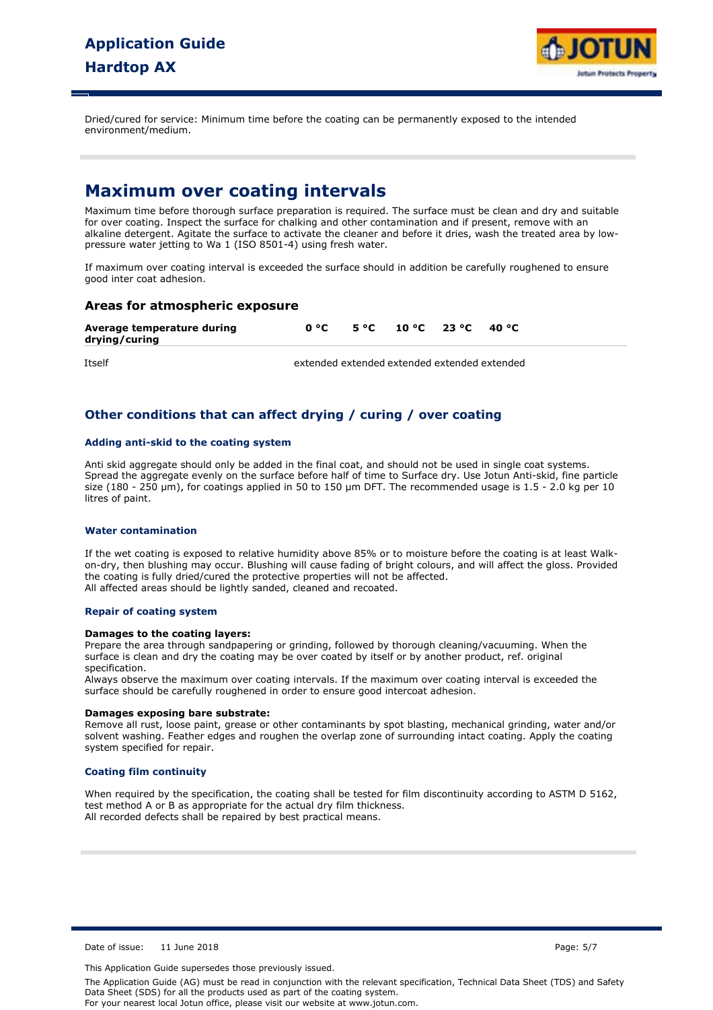

Dried/cured for service: Minimum time before the coating can be permanently exposed to the intended environment/medium.

## **Maximum over coating intervals**

Maximum time before thorough surface preparation is required. The surface must be clean and dry and suitable for over coating. Inspect the surface for chalking and other contamination and if present, remove with an alkaline detergent. Agitate the surface to activate the cleaner and before it dries, wash the treated area by lowpressure water jetting to Wa 1 (ISO 8501-4) using fresh water.

If maximum over coating interval is exceeded the surface should in addition be carefully roughened to ensure good inter coat adhesion.

### **Areas for atmospheric exposure**

| Average temperature during |  | $0^{\circ}$ C 5 °C 10 °C 23 °C 40 °C |  |
|----------------------------|--|--------------------------------------|--|
| drying/curing              |  |                                      |  |

Itself extended extended extended extended extended

## **Other conditions that can affect drying / curing / over coating**

### **Adding anti-skid to the coating system**

Anti skid aggregate should only be added in the final coat, and should not be used in single coat systems. Spread the aggregate evenly on the surface before half of time to Surface dry. Use Jotun Anti-skid, fine particle size (180 - 250 µm), for coatings applied in 50 to 150 µm DFT. The recommended usage is 1.5 - 2.0 kg per 10 litres of paint.

#### **Water contamination**

If the wet coating is exposed to relative humidity above 85% or to moisture before the coating is at least Walkon-dry, then blushing may occur. Blushing will cause fading of bright colours, and will affect the gloss. Provided the coating is fully dried/cured the protective properties will not be affected. All affected areas should be lightly sanded, cleaned and recoated.

#### **Repair of coating system**

#### **Damages to the coating layers:**

Prepare the area through sandpapering or grinding, followed by thorough cleaning/vacuuming. When the surface is clean and dry the coating may be over coated by itself or by another product, ref. original specification.

Always observe the maximum over coating intervals. If the maximum over coating interval is exceeded the surface should be carefully roughened in order to ensure good intercoat adhesion.

#### **Damages exposing bare substrate:**

Remove all rust, loose paint, grease or other contaminants by spot blasting, mechanical grinding, water and/or solvent washing. Feather edges and roughen the overlap zone of surrounding intact coating. Apply the coating system specified for repair.

#### **Coating film continuity**

When required by the specification, the coating shall be tested for film discontinuity according to ASTM D 5162, test method A or B as appropriate for the actual dry film thickness. All recorded defects shall be repaired by best practical means.

Date of issue: 11 June 2018 Page: 5/7

This Application Guide supersedes those previously issued.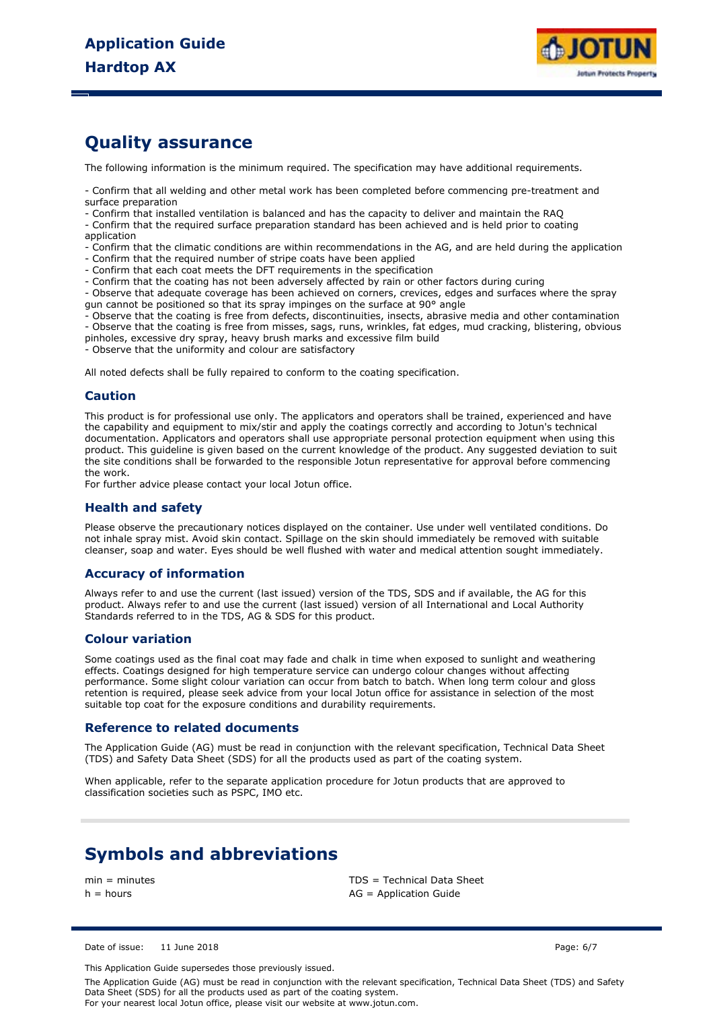

## **Quality assurance**

The following information is the minimum required. The specification may have additional requirements.

- Confirm that all welding and other metal work has been completed before commencing pre-treatment and surface preparation

- Confirm that installed ventilation is balanced and has the capacity to deliver and maintain the RAQ

- Confirm that the required surface preparation standard has been achieved and is held prior to coating application

- Confirm that the climatic conditions are within recommendations in the AG, and are held during the application

- Confirm that the required number of stripe coats have been applied
- Confirm that each coat meets the DFT requirements in the specification
- Confirm that the coating has not been adversely affected by rain or other factors during curing

- Observe that adequate coverage has been achieved on corners, crevices, edges and surfaces where the spray gun cannot be positioned so that its spray impinges on the surface at 90° angle

- Observe that the coating is free from defects, discontinuities, insects, abrasive media and other contamination

- Observe that the coating is free from misses, sags, runs, wrinkles, fat edges, mud cracking, blistering, obvious pinholes, excessive dry spray, heavy brush marks and excessive film build

.<br>- Observe that the uniformity and colour are satisfactory

All noted defects shall be fully repaired to conform to the coating specification.

#### **Caution**

This product is for professional use only. The applicators and operators shall be trained, experienced and have the capability and equipment to mix/stir and apply the coatings correctly and according to Jotun's technical documentation. Applicators and operators shall use appropriate personal protection equipment when using this product. This guideline is given based on the current knowledge of the product. Any suggested deviation to suit the site conditions shall be forwarded to the responsible Jotun representative for approval before commencing the work.

For further advice please contact your local Jotun office.

#### **Health and safety**

Please observe the precautionary notices displayed on the container. Use under well ventilated conditions. Do not inhale spray mist. Avoid skin contact. Spillage on the skin should immediately be removed with suitable cleanser, soap and water. Eyes should be well flushed with water and medical attention sought immediately.

### **Accuracy of information**

Always refer to and use the current (last issued) version of the TDS, SDS and if available, the AG for this product. Always refer to and use the current (last issued) version of all International and Local Authority Standards referred to in the TDS, AG & SDS for this product.

#### **Colour variation**

Some coatings used as the final coat may fade and chalk in time when exposed to sunlight and weathering effects. Coatings designed for high temperature service can undergo colour changes without affecting performance. Some slight colour variation can occur from batch to batch. When long term colour and gloss retention is required, please seek advice from your local Jotun office for assistance in selection of the most suitable top coat for the exposure conditions and durability requirements.

#### **Reference to related documents**

The Application Guide (AG) must be read in conjunction with the relevant specification, Technical Data Sheet (TDS) and Safety Data Sheet (SDS) for all the products used as part of the coating system.

When applicable, refer to the separate application procedure for Jotun products that are approved to classification societies such as PSPC, IMO etc.

## **Symbols and abbreviations**

min = minutes TDS = Technical Data Sheet  $h =$  hours  $AG =$  Application Guide

Date of issue: 11 June 2018 Page: 6/7

This Application Guide supersedes those previously issued.